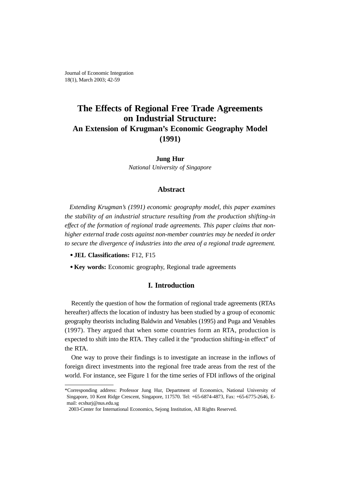Journal of Economic Integration 18(1), March 2003; 42-59

# **The Effects of Regional Free Trade Agreements on Industrial Structure: An Extension of Krugman's Economic Geography Model (1991)**

## **Jung Hur**

*National University of Singapore*

## **Abstract**

*Extending Krugman's (1991) economic geography model, this paper examines the stability of an industrial structure resulting from the production shifting-in effect of the formation of regional trade agreements. This paper claims that nonhigher external trade costs against non-member countries may be needed in order to secure the divergence of industries into the area of a regional trade agreement.*

- **JEL Classifications:** F12, F15
- **Key words:** Economic geography, Regional trade agreements

## **I. Introduction**

Recently the question of how the formation of regional trade agreements (RTAs hereafter) affects the location of industry has been studied by a group of economic geography theorists including Baldwin and Venables (1995) and Puga and Venables (1997). They argued that when some countries form an RTA, production is expected to shift into the RTA. They called it the "production shifting-in effect" of the RTA.

One way to prove their findings is to investigate an increase in the inflows of foreign direct investments into the regional free trade areas from the rest of the world. For instance, see Figure 1 for the time series of FDI inflows of the original

<sup>\*</sup>Corresponding address: Professor Jung Hur, Department of Economics, National University of Singapore, 10 Kent Ridge Crescent, Singapore, 117570. Tel: +65-6874-4873, Fax: +65-6775-2646, Email: ecshurj@nus.edu.sg

<sup>2003-</sup>Center for International Economics, Sejong Institution, All Rights Reserved.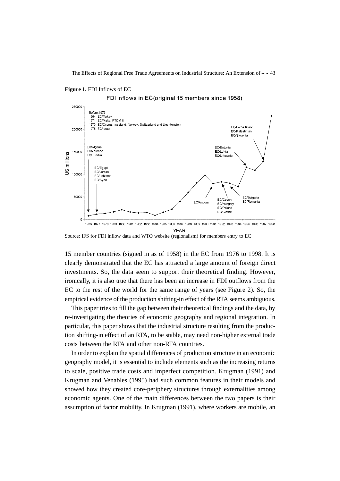### **Figure 1.** FDI Inflows of EC

FDI inflows in EC (original 15 members since 1958)



Source: IFS for FDI inflow data and WTO website (regionalism) for members entry to EC

15 member countries (signed in as of 1958) in the EC from 1976 to 1998. It is clearly demonstrated that the EC has attracted a large amount of foreign direct investments. So, the data seem to support their theoretical finding. However, ironically, it is also true that there has been an increase in FDI outflows from the EC to the rest of the world for the same range of years (see Figure 2). So, the empirical evidence of the production shifting-in effect of the RTA seems ambiguous.

This paper tries to fill the gap between their theoretical findings and the data, by re-investigating the theories of economic geography and regional integration. In particular, this paper shows that the industrial structure resulting from the production shifting-in effect of an RTA, to be stable, may need non-higher external trade costs between the RTA and other non-RTA countries.

In order to explain the spatial differences of production structure in an economic geography model, it is essential to include elements such as the increasing returns to scale, positive trade costs and imperfect competition. Krugman (1991) and Krugman and Venables (1995) had such common features in their models and showed how they created core-periphery structures through externalities among economic agents. One of the main differences between the two papers is their assumption of factor mobility. In Krugman (1991), where workers are mobile, an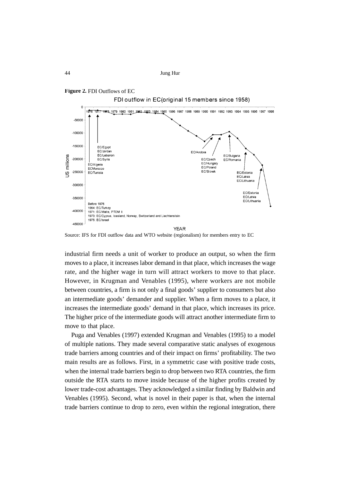

FDI outflow in EC (original 15 members since 1958)



Source: IFS for FDI outflow data and WTO website (regionalism) for members entry to EC

industrial firm needs a unit of worker to produce an output, so when the firm moves to a place, it increases labor demand in that place, which increases the wage rate, and the higher wage in turn will attract workers to move to that place. However, in Krugman and Venables (1995), where workers are not mobile between countries, a firm is not only a final goods' supplier to consumers but also an intermediate goods' demander and supplier. When a firm moves to a place, it increases the intermediate goods' demand in that place, which increases its price. The higher price of the intermediate goods will attract another intermediate firm to move to that place.

Puga and Venables (1997) extended Krugman and Venables (1995) to a model of multiple nations. They made several comparative static analyses of exogenous trade barriers among countries and of their impact on firms' profitability. The two main results are as follows. First, in a symmetric case with positive trade costs, when the internal trade barriers begin to drop between two RTA countries, the firm outside the RTA starts to move inside because of the higher profits created by lower trade-cost advantages. They acknowledged a similar finding by Baldwin and Venables (1995). Second, what is novel in their paper is that, when the internal trade barriers continue to drop to zero, even within the regional integration, there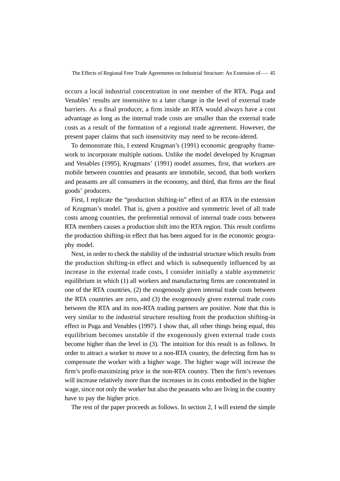occurs a local industrial concentration in one member of the RTA. Puga and Venables' results are insensitive to a later change in the level of external trade barriers. As a final producer, a firm inside an RTA would always have a cost advantage as long as the internal trade costs are smaller than the external trade costs as a result of the formation of a regional trade agreement. However, the present paper claims that such insensitivity may need to be recons-idered.

To demonstrate this, I extend Krugman's (1991) economic geography framework to incorporate multiple nations. Unlike the model developed by Krugman and Venables (1995), Krugmans' (1991) model assumes, first, that workers are mobile between countries and peasants are immobile, second, that both workers and peasants are all consumers in the economy, and third, that firms are the final goods' producers.

First, I replicate the "production shifting-in" effect of an RTA in the extension of Krugman's model. That is, given a positive and symmetric level of all trade costs among countries, the preferential removal of internal trade costs between RTA members causes a production shift into the RTA region. This result confirms the production shifting-in effect that has been argued for in the economic geography model.

Next, in order to check the stability of the industrial structure which results from the production shifting-in effect and which is subsequently influenced by an increase in the external trade costs, I consider initially a stable asymmetric equilibrium in which (1) all workers and manufacturing firms are concentrated in one of the RTA countries, (2) the exogenously given internal trade costs between the RTA countries are zero, and (3) the exogenously given external trade costs between the RTA and its non-RTA trading partners are positive. Note that this is very similar to the industrial structure resulting from the production shifting-in effect in Puga and Venables (1997). I show that, all other things being equal, this equilibrium becomes unstable if the exogenously given external trade costs become higher than the level in (3). The intuition for this result is as follows. In order to attract a worker to move to a non-RTA country, the defecting firm has to compensate the worker with a higher wage. The higher wage will increase the firm's profit-maximizing price in the non-RTA country. Then the firm's revenues will increase relatively more than the increases in its costs embodied in the higher wage, since not only the worker but also the peasants who are living in the country have to pay the higher price.

The rest of the paper proceeds as follows. In section 2, I will extend the simple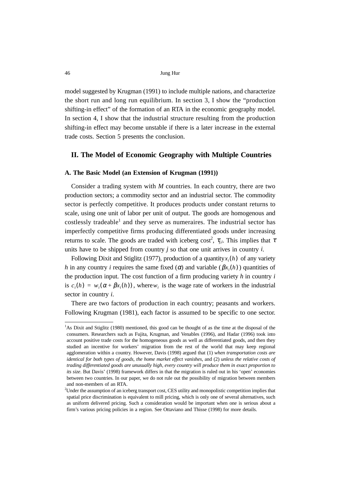model suggested by Krugman (1991) to include multiple nations, and characterize the short run and long run equilibrium. In section 3, I show the "production shifting-in effect" of the formation of an RTA in the economic geography model. In section 4, I show that the industrial structure resulting from the production shifting-in effect may become unstable if there is a later increase in the external trade costs. Section 5 presents the conclusion.

## **II. The Model of Economic Geography with Multiple Countries**

### **A. The Basic Model (an Extension of Krugman (1991))**

Consider a trading system with *M* countries. In each country, there are two production sectors; a commodity sector and an industrial sector. The commodity sector is perfectly competitive. It produces products under constant returns to scale, using one unit of labor per unit of output. The goods are homogenous and costlessly tradeable<sup>1</sup> and they serve as numeraires. The industrial sector has imperfectly competitive firms producing differentiated goods under increasing returns to scale. The goods are traded with iceberg cost<sup>2</sup>,  $\tau_{j,i}$ . This implies that  $\tau$ units have to be shipped from country *j* so that one unit arrives in country *i*.

Following Dixit and Stiglitz (1977), production of a quantity  $x_i(h)$  of any variety *h* in any country *i* requires the same fixed  $(\alpha)$  and variable  $(\beta x_i(h))$  quantities of the production input. The cost function of a firm producing variety *h* in country *i* is  $c_i(h) = w_i(\alpha + \beta x_i(h))$ , where  $w_i$  is the wage rate of workers in the industrial sector in country *i*.

There are two factors of production in each country; peasants and workers. Following Krugman (1981), each factor is assumed to be specific to one sector.

<sup>&</sup>lt;sup>1</sup>As Dixit and Stiglitz (1980) mentioned, this good can be thought of as the time at the disposal of the consumers. Researchers such as Fujita, Krugman, and Venables (1996), and Hadar (1996) took into account positive trade costs for the homogeneous goods as well as differentiated goods, and then they studied an incentive for workers' migration from the rest of the world that may keep regional agglomeration within a country. However, Davis (1998) argued that (1) *when transportation costs are identical for both types of goods, the home market effect vanishes*, and (2) *unless the relative costs of trading differentiated goods are unusually high, every country will produce them in exact proportion to its size*. But Davis' (1998) framework differs in that the migration is ruled out in his 'open' economies between two countries. In our paper, we do not rule out the possibility of migration between members and non-members of an RTA.

<sup>2</sup> Under the assumption of an iceberg transport cost, CES utility and monopolistic competition implies that spatial price discrimination is equivalent to mill pricing, which is only one of several alternatives, such as uniform delivered pricing. Such a consideration would be important when one is serious about a firm's various pricing policies in a region. See Ottaviano and Thisse (1998) for more details.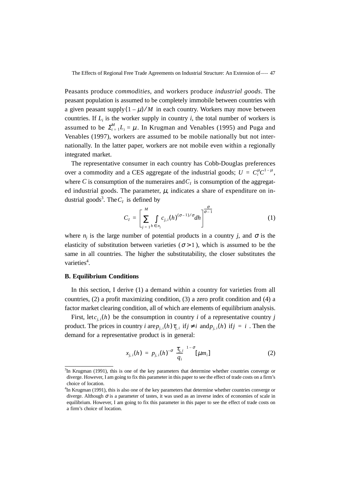Peasants produce *commodities*, and workers produce *industrial goods*. The peasant population is assumed to be completely immobile between countries with a given peasant supply  $(1 - \mu) / M$  in each country. Workers may move between countries. If  $L_i$  is the worker supply in country  $i$ , the total number of workers is assumed to be  $\sum_{i=1}^{M} L_i = \mu$ . In Krugman and Venables (1995) and Puga and Venables (1997), workers are assumed to be mobile nationally but not internationally. In the latter paper, workers are not mobile even within a regionally integrated market.

The representative consumer in each country has Cobb-Douglas preferences over a commodity and a CES aggregate of the industrial goods;  $U = C_i^{\mu} C^{1-\mu}$ , where C is consumption of the numeraires and  $C<sub>I</sub>$  is consumption of the aggregated industrial goods. The parameter,  $\mu$ , indicates a share of expenditure on industrial goods<sup>3</sup>. The  $C_I$  is defined by

$$
C_I = \left[\sum_{j=1}^{M} \int_{h \in n_j} c_{j,i}(h)^{(\sigma-1)/\sigma} dh\right]^{\frac{\sigma}{\sigma-1}}
$$
(1)

where  $n_i$  is the large number of potential products in a country *j*, and  $\sigma$  is the elasticity of substitution between varieties  $(\sigma > 1)$ , which is assumed to be the same in all countries. The higher the substitutability, the closer substitutes the varieties<sup>4</sup>.

### **B. Equilibrium Conditions**

In this section, I derive (1) a demand within a country for varieties from all countries, (2) a profit maximizing condition, (3) a zero profit condition and (4) a factor market clearing condition, all of which are elements of equilibrium analysis.

First, let  $c_{j,i}(h)$  be the consumption in country *i* of a representative country *j* product. The prices in country *i* are  $p_{j,i}(h) \tau_{j,i}$  if  $j \neq i$  and  $p_{j,i}(h)$  if  $j = i$ . Then the demand for a representative product is in general:

$$
x_{j,i}(h) = p_{j,i}(h)^{-\sigma} \left(\frac{\tau_{j,i}}{q_i}\right)^{1-\sigma} [\mu m_i]
$$
 (2)

<sup>&</sup>lt;sup>3</sup>In Krugman (1991), this is one of the key parameters that determine whether countries converge or diverge. However, I am going to fix this parameter in this paper to see the effect of trade costs on a firm's choice of location.

<sup>4</sup> In Krugman (1991), this is also one of the key parameters that determine whether countries converge or diverge. Although  $\sigma$  is a parameter of tastes, it was used as an inverse index of economies of scale in equilibrium. However, I am going to fix this parameter in this paper to see the effect of trade costs on a firm's choice of location.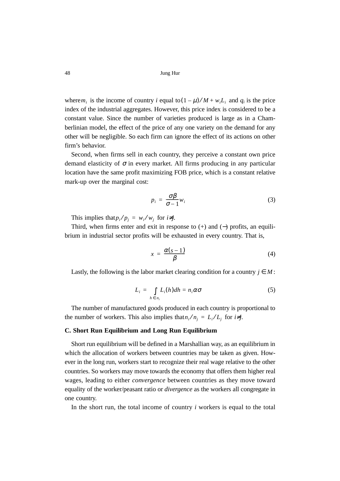where  $m_i$  is the income of country *i* equal to  $(1 - \mu) / M + w_i L_i$  and  $q_i$  is the price index of the industrial aggregates. However, this price index is considered to be a constant value. Since the number of varieties produced is large as in a Chamberlinian model, the effect of the price of any one variety on the demand for any other will be negligible. So each firm can ignore the effect of its actions on other firm's behavior.

Second, when firms sell in each country, they perceive a constant own price demand elasticity of  $\sigma$  in every market. All firms producing in any particular location have the same profit maximizing FOB price, which is a constant relative mark-up over the marginal cost:

$$
p_i = \frac{\sigma \beta}{\sigma - 1} w_i \tag{3}
$$

This implies that  $p_i/p_j = w_i/w_j$  for  $i \neq j$ .

Third, when firms enter and exit in response to  $(+)$  and  $(-)$  profits, an equilibrium in industrial sector profits will be exhausted in every country. That is,

$$
x = \frac{\alpha(s-1)}{\beta} \tag{4}
$$

Lastly, the following is the labor market clearing condition for a country  $j \in M$ :

$$
L_i = \int\limits_{h \in n_i} L_i(h) dh = n_i \alpha \sigma \tag{5}
$$

The number of manufactured goods produced in each country is proportional to the number of workers. This also implies that  $n_i/n_j = L_i/L_j$  for  $i \neq j$ .

### **C. Short Run Equilibrium and Long Run Equilibrium**

Short run equilibrium will be defined in a Marshallian way, as an equilibrium in which the allocation of workers between countries may be taken as given. However in the long run, workers start to recognize their real wage relative to the other countries. So workers may move towards the economy that offers them higher real wages, leading to either *convergence* between countries as they move toward equality of the worker/peasant ratio or *divergence* as the workers all congregate in one country.

In the short run, the total income of country *i* workers is equal to the total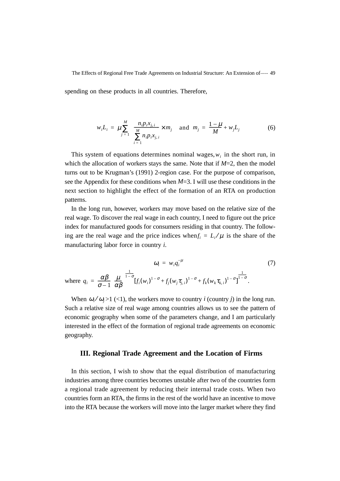spending on these products in all countries. Therefore,

$$
w_{i}L_{i} = \mu \sum_{j=1}^{M} \left\{ \frac{n_{i}p_{i}x_{j,i}}{\sum_{i=1}^{M} n_{i}p_{i}x_{j,i}} \times m_{j} \right\} \text{ and } m_{j} = \frac{1-\mu}{M} + w_{j}L_{j}
$$
(6)

This system of equations determines nominal wages,  $w_i$  in the short run, in which the allocation of workers stays the same. Note that if  $M=2$ , then the model turns out to be Krugman's (1991) 2-region case. For the purpose of comparison, see the Appendix for these conditions when *M*=3. I will use these conditions in the next section to highlight the effect of the formation of an RTA on production patterns.

In the long run, however, workers may move based on the relative size of the real wage. To discover the real wage in each country, I need to figure out the price index for manufactured goods for consumers residing in that country. The following are the real wage and the price indices when  $f_i = L_i / \mu$  is the share of the manufacturing labor force in country *i*.

$$
\omega_i = w_i q_i^{-\mu}
$$
\n
$$
\omega_i = w_i q_i^{-\mu}
$$
\n(7)

\nwhere  $q_i = \frac{\alpha \beta}{\sigma - 1} \left( \frac{\mu}{\alpha \beta} \right)^{1 - \sigma} [f_i(w_i)^{1 - \sigma} + f_j(w_j \tau_{j,i})^{1 - \sigma} + f_k(w_k \tau_{k,i})^{1 - \sigma}]^{1 - \sigma}$ .

When  $\omega_i / \omega_j > 1$  (<1), the workers move to country *i* (country *j*) in the long run. Such a relative size of real wage among countries allows us to see the pattern of economic geography when some of the parameters change, and I am particularly interested in the effect of the formation of regional trade agreements on economic geography.

## **III. Regional Trade Agreement and the Location of Firms**

In this section, I wish to show that the equal distribution of manufacturing industries among three countries becomes unstable after two of the countries form a regional trade agreement by reducing their internal trade costs. When two countries form an RTA, the firms in the rest of the world have an incentive to move into the RTA because the workers will move into the larger market where they find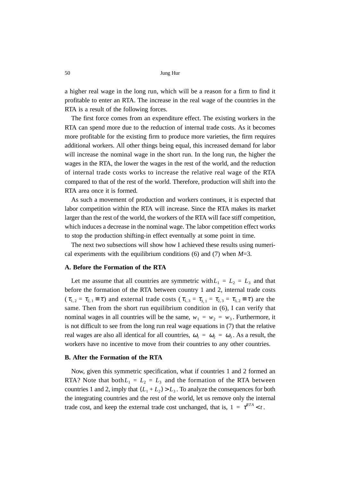a higher real wage in the long run, which will be a reason for a firm to find it profitable to enter an RTA. The increase in the real wage of the countries in the RTA is a result of the following forces.

The first force comes from an expenditure effect. The existing workers in the RTA can spend more due to the reduction of internal trade costs. As it becomes more profitable for the existing firm to produce more varieties, the firm requires additional workers. All other things being equal, this increased demand for labor will increase the nominal wage in the short run. In the long run, the higher the wages in the RTA, the lower the wages in the rest of the world, and the reduction of internal trade costs works to increase the relative real wage of the RTA compared to that of the rest of the world. Therefore, production will shift into the RTA area once it is formed.

As such a movement of production and workers continues, it is expected that labor competition within the RTA will increase. Since the RTA makes its market larger than the rest of the world, the workers of the RTA will face stiff competition, which induces a decrease in the nominal wage. The labor competition effect works to stop the production shifting-in effect eventually at some point in time.

The next two subsections will show how I achieved these results using numerical experiments with the equilibrium conditions (6) and (7) when *M*=3.

### **A. Before the Formation of the RTA**

Let me assume that all countries are symmetric with  $L_1 = L_2 = L_3$  and that before the formation of the RTA between country 1 and 2, internal trade costs  $(\tau_{1,2} = \tau_{2,1} \equiv \tau)$  and external trade costs  $(\tau_{1,3} = \tau_{3,1} = \tau_{2,3} = \tau_{3,2} \equiv \tau)$  are the same. Then from the short run equilibrium condition in (6), I can verify that nominal wages in all countries will be the same,  $w_1 = w_2 = w_3$ . Furthermore, it is not difficult to see from the long run real wage equations in (7) that the relative real wages are also all identical for all countries,  $\omega_1 = \omega_2 = \omega_3$ . As a result, the workers have no incentive to move from their countries to any other countries.

### **B. After the Formation of the RTA**

Now, given this symmetric specification, what if countries 1 and 2 formed an RTA? Note that both $L_1 = L_2 = L_3$  and the formation of the RTA between countries 1 and 2, imply that  $(L_1 + L_2) > L_3$ . To analyze the consequences for both the integrating countries and the rest of the world, let us remove only the internal trade cost, and keep the external trade cost unchanged, that is,  $1 = \tau^{RTA} < t$ .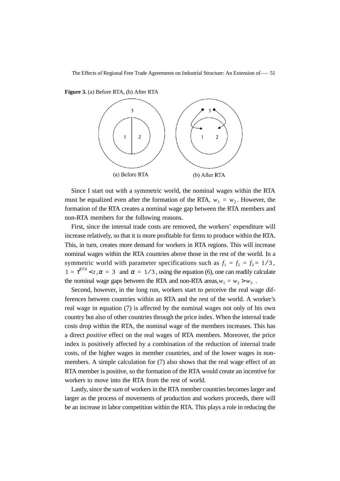**Figure 3.** (a) Before RTA, (b) After RTA



Since I start out with a symmetric world, the nominal wages within the RTA must be equalized even after the formation of the RTA,  $w_1 = w_2$ . However, the formation of the RTA creates a nominal wage gap between the RTA members and non-RTA members for the following reasons.

First, since the internal trade costs are removed, the workers' expenditure will increase relatively, so that it is more profitable for firms to produce within the RTA. This, in turn, creates more demand for workers in RTA regions. This will increase nominal wages within the RTA countries above those in the rest of the world. In a symmetric world with parameter specifications such as  $f_1 = f_2 = f_3 = 1/3$ ,  $1 = \tau^{RTA} < t$ ,  $\alpha = 3$  and  $\alpha = 1/3$ , using the equation (6), one can readily calculate the nominal wage gaps between the RTA and non-RTA areas,  $w_1 = w_2 > w_3$ .

Second, however, in the long run, workers start to perceive the real wage differences between countries within an RTA and the rest of the world. A worker's real wage in equation (7) is affected by the nominal wages not only of his own country but also of other countries through the price index. When the internal trade costs drop within the RTA, the nominal wage of the members increases. This has a direct *positive* effect on the real wages of RTA members. Moreover, the price index is positively affected by a combination of the reduction of internal trade costs, of the higher wages in member countries, and of the lower wages in nonmembers. A simple calculation for (7) also shows that the real wage effect of an RTA member is positive, so the formation of the RTA would create an incentive for workers to move into the RTA from the rest of world.

Lastly, since the sum of workers in the RTA member countries becomes larger and larger as the process of movements of production and workers proceeds, there will be an increase in labor competition within the RTA. This plays a role in reducing the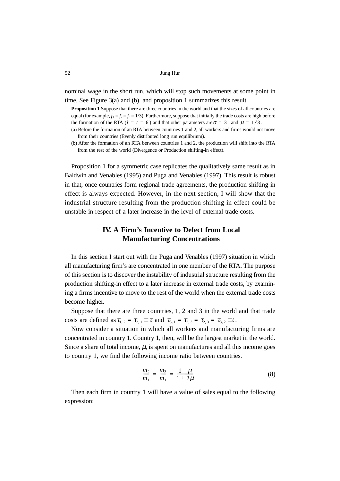nominal wage in the short run, which will stop such movements at some point in time. See Figure 3(a) and (b), and proposition 1 summarizes this result.

**Proposition 1** Suppose that there are three countries in the world and that the sizes of all countries are equal (for example,  $f_1 = f_2 = f_3 = 1/3$ ). Furthermore, suppose that initially the trade costs are high before the formation of the RTA ( $t = t = 6$ ) and that other parameters are  $\sigma = 3$  and  $\mu = 1/3$ .

- (a) Before the formation of an RTA between countries 1 and 2, all workers and firms would not move from their countries (Evenly distributed long run equilibrium).
- (b) After the formation of an RTA between countries 1 and 2, the production will shift into the RTA from the rest of the world (Divergence or Production shifting-in effect).

Proposition 1 for a symmetric case replicates the qualitatively same result as in Baldwin and Venables (1995) and Puga and Venables (1997). This result is robust in that, once countries form regional trade agreements, the production shifting-in effect is always expected. However, in the next section, I will show that the industrial structure resulting from the production shifting-in effect could be unstable in respect of a later increase in the level of external trade costs.

## **IV. A Firm's Incentive to Defect from Local Manufacturing Concentrations**

In this section I start out with the Puga and Venables (1997) situation in which all manufacturing firm's are concentrated in one member of the RTA. The purpose of this section is to discover the instability of industrial structure resulting from the production shifting-in effect to a later increase in external trade costs, by examining a firms incentive to move to the rest of the world when the external trade costs become higher.

Suppose that there are three countries, 1, 2 and 3 in the world and that trade costs are defined as  $\tau_{1,2} = \tau_{2,1} \equiv \tau$  and  $\tau_{3,1} = \tau_{2,3} = \tau_{3,2} \equiv t$ .

Now consider a situation in which all workers and manufacturing firms are concentrated in country 1. Country 1, then, will be the largest market in the world. Since a share of total income,  $\mu$ , is spent on manufactures and all this income goes to country 1, we find the following income ratio between countries.

$$
\frac{m_2}{m_1} = \frac{m_3}{m_1} = \frac{1 - \mu}{1 + 2\mu} \tag{8}
$$

Then each firm in country 1 will have a value of sales equal to the following expression: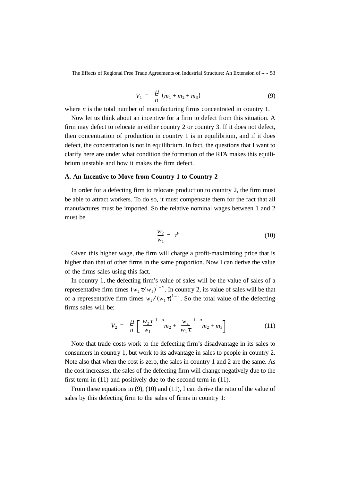$$
V_1 = \binom{\mu}{n}(m_1 + m_2 + m_3) \tag{9}
$$

where *n* is the total number of manufacturing firms concentrated in country 1.

Now let us think about an incentive for a firm to defect from this situation. A firm may defect to relocate in either country 2 or country 3. If it does not defect, then concentration of production in country 1 is in equilibrium, and if it does defect, the concentration is not in equilibrium. In fact, the questions that I want to clarify here are under what condition the formation of the RTA makes this equilibrium unstable and how it makes the firm defect.

### **A. An Incentive to Move from Country 1 to Country 2**

In order for a defecting firm to relocate production to country 2, the firm must be able to attract workers. To do so, it must compensate them for the fact that all manufactures must be imported. So the relative nominal wages between 1 and 2 must be

$$
\frac{w_2}{w_1} = \tau^{\mu} \tag{10}
$$

Given this higher wage, the firm will charge a profit-maximizing price that is higher than that of other firms in the same proportion. Now I can derive the value of the firms sales using this fact.

In country 1, the defecting firm's value of sales will be the value of sales of a representative firm times  $(w_2 \tau/w_1)^{1-s}$ . In country 2, its value of sales will be that of a representative firm times  $w_2 / (w_1 \tau)^{1-s}$ . So the total value of the defecting firms sales will be:

$$
V_2 = \left(\frac{\mu}{n}\right) \left[ \left(\frac{w_2 \tau}{w_1}\right)^{1-\sigma} m_2 + \left(\frac{w_2}{w_1 \tau}\right)^{1-\sigma} m_2 + m_3 \right] \tag{11}
$$

Note that trade costs work to the defecting firm's disadvantage in its sales to consumers in country 1, but work to its advantage in sales to people in country 2. Note also that when the cost is zero, the sales in country 1 and 2 are the same. As the cost increases, the sales of the defecting firm will change negatively due to the first term in (11) and positively due to the second term in (11).

From these equations in (9), (10) and (11), I can derive the ratio of the value of sales by this defecting firm to the sales of firms in country 1: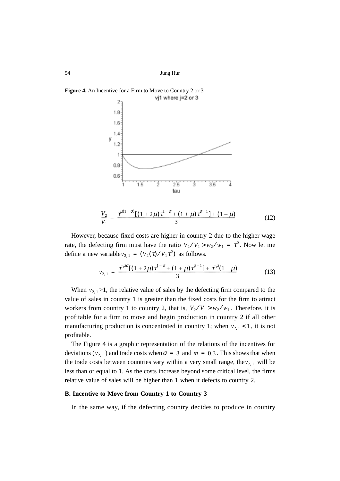**Figure 4.** An Incentive for a Firm to Move to Country 2 or 3



$$
\frac{V_2}{V_1} = \frac{\tau^{\mu(1-\sigma)}[(1+2\mu)\tau^{1-\sigma} + (1+\mu)\tau^{\sigma-1}] + (1-\mu)}{3}
$$
(12)

However, because fixed costs are higher in country 2 due to the higher wage rate, the defecting firm must have the ratio  $V_2/V_1 > w_2/w_1 = \tau^{\mu}$ . Now let me define a new variable  $v_{2,1} = (V_2(\tau) / V_1 \tau^{\mu})$  as follows.

$$
v_{2,1} = \frac{\tau^{\mu\sigma}[(1+2\mu)\tau^{1-\sigma}+(1+\mu)\tau^{\sigma-1}]+\tau^{\mu}(1-\mu)}{3}
$$
(13)

When  $v_{2,1}$  >1, the relative value of sales by the defecting firm compared to the value of sales in country 1 is greater than the fixed costs for the firm to attract workers from country 1 to country 2, that is,  $V_2/V_1 > w_2/w_1$ . Therefore, it is profitable for a firm to move and begin production in country 2 if all other manufacturing production is concentrated in country 1; when  $v_{2,1}$  < 1, it is not profitable.

The Figure 4 is a graphic representation of the relations of the incentives for deviations ( $v_{2,1}$ ) and trade costs when  $\sigma = 3$  and  $m = 0.3$ . This shows that when the trade costs between countries vary within a very small range, the  $v_{2,1}$  will be less than or equal to 1. As the costs increase beyond some critical level, the firms relative value of sales will be higher than 1 when it defects to country 2.

### **B. Incentive to Move from Country 1 to Country 3**

In the same way, if the defecting country decides to produce in country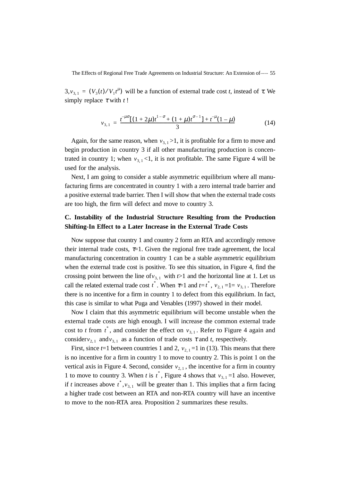$3, v_{3,1} = (V_3(t)/V_1 t^{\mu})$  will be a function of external trade cost *t*, instead of  $\tau$ . We simply replace  $\tau$  with  $t$ !

$$
v_{3,1} = \frac{t^{-\mu\sigma}[(1+2\mu)t^{1-\sigma} + (1+\mu)t^{\sigma-1}] + t^{-\mu}(1-\mu)}{3}
$$
(14)

Again, for the same reason, when  $v_{3,1} > 1$ , it is profitable for a firm to move and begin production in country 3 if all other manufacturing production is concentrated in country 1; when  $v_{3,1}$ <1, it is not profitable. The same Figure 4 will be used for the analysis.

Next, I am going to consider a stable asymmetric equilibrium where all manufacturing firms are concentrated in country 1 with a zero internal trade barrier and a positive external trade barrier. Then I will show that when the external trade costs are too high, the firm will defect and move to country 3.

## **C. Instability of the Industrial Structure Resulting from the Production Shifting-In Effect to a Later Increase in the External Trade Costs**

Now suppose that country 1 and country 2 form an RTA and accordingly remove their internal trade costs,  $\tau$ =1. Given the regional free trade agreement, the local manufacturing concentration in country 1 can be a stable asymmetric equilibrium when the external trade cost is positive. To see this situation, in Figure 4, find the crossing point between the line of  $v_{3,1}$  with  $t > 1$  and the horizontal line at 1. Let us call the related external trade cost  $t^*$ . When  $\tau=1$  and  $t=t^*$ ,  $v_{2,1}=1=v_{3,1}$ . Therefore there is no incentive for a firm in country 1 to defect from this equilibrium. In fact, this case is similar to what Puga and Venables (1997) showed in their model.

Now I claim that this asymmetric equilibrium will become unstable when the external trade costs are high enough. I will increase the common external trade cost to *t* from  $t^*$ , and consider the effect on  $v_{3,1}$ . Refer to Figure 4 again and consider  $v_{2,1}$  and  $v_{3,1}$  as a function of trade costs  $\tau$  and  $t$ , respectively.

First, since  $t=1$  between countries 1 and 2,  $v_{2,1}=1$  in (13). This means that there is no incentive for a firm in country 1 to move to country 2. This is point 1 on the vertical axis in Figure 4. Second, consider  $v_{2,1}$ , the incentive for a firm in country 1 to move to country 3. When *t* is  $t^*$ , Figure 4 shows that  $v_{3,1} = 1$  also. However, if *t* increases above  $t^*$ ,  $v_{3,1}$  will be greater than 1. This implies that a firm facing a higher trade cost between an RTA and non-RTA country will have an incentive to move to the non-RTA area. Proposition 2 summarizes these results.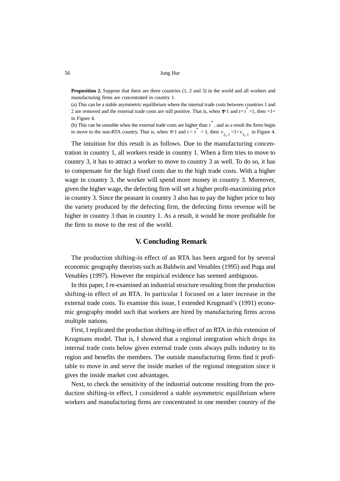**Proposition 2.** Suppose that there are three countries  $(1, 2 \text{ and } 3)$  in the world and all workers and manufacturing firms are concentrated in country 1.

(a) This can be a stable asymmetric equilibrium where the internal trade costs between countries 1 and 2 are removed and the external trade costs are still positive. That is, when  $\tau=1$  and  $t=t^* > 1$ , then  $=1$ in Figure 4.

(b) This can be unstable when the external trade costs are higher than  $t^*$ , and as a result the firms begin to move to the non-RTA country. That is, when  $\tau=1$  and  $\tau > t^* > 1$ , then  $v_{2, 1} = 1 < v_{3, 1}$  in Figure 4.

The intuition for this result is as follows. Due to the manufacturing concentration in country 1, all workers reside in country 1. When a firm tries to move to country 3, it has to attract a worker to move to country 3 as well. To do so, it has to compensate for the high fixed costs due to the high trade costs. With a higher wage in country 3, the worker will spend more money in country 3. Moreover, given the higher wage, the defecting firm will set a higher profit-maximizing price in country 3. Since the peasant in country 3 also has to pay the higher price to buy the variety produced by the defecting firm, the defecting firms revenue will be higher in country 3 than in country 1. As a result, it would be more profitable for the firm to move to the rest of the world.

## **V. Concluding Remark**

The production shifting-in effect of an RTA has been argued for by several economic geography theorists such as Baldwin and Venables (1995) and Puga and Venables (1997). However the empirical evidence has seemed ambiguous.

In this paper, I re-examined an industrial structure resulting from the production shifting-in effect of an RTA. In particular I focused on a later increase in the external trade costs. To examine this issue, I extended Krugmanl's (1991) economic geography model such that workers are hired by manufacturing firms across multiple nations.

First, I replicated the production shifting-in effect of an RTA in this extension of Krugmans model. That is, I showed that a regional integration which drops its internal trade costs below given external trade costs always pulls industry to its region and benefits the members. The outside manufacturing firms find it profitable to move in and serve the inside market of the regional integration since it gives the inside market cost advantages.

Next, to check the sensitivity of the industrial outcome resulting from the production shifting-in effect, I considered a stable asymmetric equilibrium where workers and manufacturing firms are concentrated in one member country of the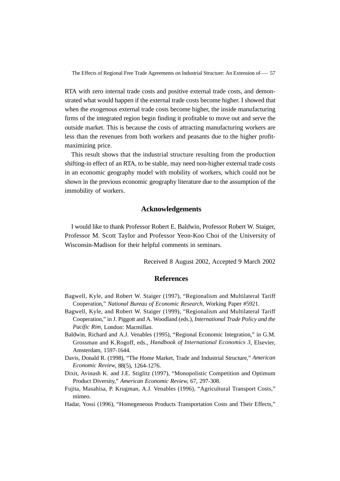RTA with zero internal trade costs and positive external trade costs, and demonstrated what would happen if the external trade costs become higher. I showed that when the exogenous external trade costs become higher, the inside manufacturing firms of the integrated region begin finding it profitable to move out and serve the outside market. This is because the costs of attracting manufacturing workers are less than the revenues from both workers and peasants due to the higher profitmaximizing price.

This result shows that the industrial structure resulting from the production shifting-in effect of an RTA, to be stable, may need non-higher external trade costs in an economic geography model with mobility of workers, which could not be shown in the previous economic geography literature due to the assumption of the immobility of workers.

## **Acknowledgements**

I would like to thank Professor Robert E. Baldwin, Professor Robert W. Staiger, Professor M. Scott Taylor and Professor Yeon-Koo Choi of the University of Wisconsin-Madison for their helpful comments in seminars.

Received 8 August 2002, Accepted 9 March 2002

## **References**

- Bagwell, Kyle, and Robert W. Staiger (1997), "Regionalism and Multilateral Tariff Cooperation," *National Bureau of Economic Research*, Working Paper #5921.
- Bagwell, Kyle, and Robert W. Staiger (1999), "Regionalism and Multilateral Tariff Cooperation," in J. Piggott and A. Woodland (eds.), *International Trade Policy and the Pacific Rim*, London: Macmillan.
- Baldwin, Richard and A.J. Venables (1995), "Regional Economic Integration," in G.M. Grossman and K.Rogoff, eds., *Handbook of International Economics 3*, Elsevier, Amsterdam, 1597-1644.
- Davis, Donald R. (1998), "The Home Market, Trade and Industrial Structure," *American Economic Review*, 88(5), 1264-1276.
- Dixit, Avinash K. and J.E. Stiglitz (1997), "Monopolistic Competition and Optimum Product Diversity," *American Economic Review*, 67, 297-308.
- Fujita, Masahisa, P. Krugman, A.J. Venables (1996), "Agricultural Transport Costs," mimeo.
- Hadar, Yossi (1996), "Homegeneous Products Transportation Costs and Their Effects,"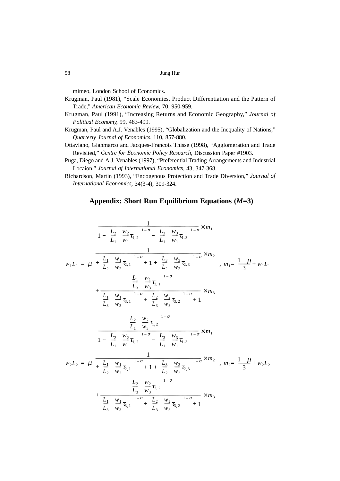mimeo, London School of Economics.

- Krugman, Paul (1981), "Scale Economies, Product Differentiation and the Pattern of Trade," *American Economic Review*, 70, 950-959.
- Krugman, Paul (1991), "Increasing Returns and Economic Geography," *Journal of Political Economy*, 99, 483-499.
- Krugman, Paul and A.J. Venables (1995), "Globalization and the Inequality of Nations," *Quarterly Journal of Economics*, 110, 857-880.
- Ottaviano, Gianmarco and Jacques-Francois Thisse (1998), "Agglomeration and Trade Revisited," *Centre for Economic Policy Research*, Discussion Paper #1903.
- Puga, Diego and A.J. Venables (1997), "Preferential Trading Arrangements and Industrial Locaion," *Journal of International Economics*, 43, 347-368.
- Richardson, Martin (1993), "Endogenous Protection and Trade Diversion," *Journal of International Economics*, 34(3-4), 309-324.

## **Appendix: Short Run Equilibrium Equations (***M***=3)**

$$
w_{1}L_{1} = \mu \left\{ \frac{1 + \left(\frac{L_{2}}{L_{1}}\right)\left(\frac{w_{2}}{w_{1}}\tau_{1,2}\right)^{1-\sigma} + \left(\frac{L_{3}}{L_{1}}\right)\left(\frac{w_{3}}{w_{1}}\tau_{1,3}\right)^{1-\sigma} \times m_{1}}{1 - \left(\frac{L_{1}}{L_{2}}\right)\left(\frac{w_{1}}{w_{2}}\tau_{2,1}\right)^{1-\sigma} + 1 + \left(\frac{L_{3}}{L_{2}}\right)\left(\frac{w_{3}}{w_{2}}\tau_{2,3}\right)^{1-\sigma} \times m_{2}} \right\}, m_{1} = \frac{1-\mu}{3} + w_{1}L_{1}
$$
\n
$$
\left\{ \frac{\left(\frac{L_{1}}{L_{3}}\right)\left(\frac{w_{1}}{w_{3}}\tau_{3,1}\right)^{1-\sigma}}{\left(\frac{L_{1}}{L_{3}}\right)\left(\frac{w_{1}}{w_{3}}\tau_{3,1}\right)^{1-\sigma} + \left(\frac{L_{2}}{L_{3}}\right)\left(\frac{w_{2}}{w_{3}}\tau_{3,2}\right)^{1-\sigma} + 1} \times m_{3} \right\}
$$
\n
$$
\left\{ \frac{\left(\frac{L_{2}}{L_{1}}\right)\left(\frac{w_{2}}{w_{3}}\tau_{1,2}\right)^{1-\sigma}}{1 + \left(\frac{L_{2}}{L_{1}}\right)\left(\frac{w_{2}}{w_{1}}\tau_{1,2}\right)^{1-\sigma} + \left(\frac{L_{3}}{L_{1}}\right)\left(\frac{w_{3}}{w_{1}}\tau_{1,3}\right)^{1-\sigma} \times m_{1}} \right\}
$$
\n
$$
w_{2}L_{2} = \mu \left\{ \frac{\left(\frac{L_{2}}{L_{1}}\right)\left(\frac{w_{2}}{w_{1}}\tau_{2,1}\right)^{1-\sigma} + 1 + \left(\frac{L_{3}}{L_{2}}\right)\left(\frac{w_{3}}{w_{2}}\tau_{2,3}\right)^{1-\sigma} \times m_{2} \right\}, m_{2} = \frac{1-\mu}{3} + w_{2}L_{2}
$$
\n
$$
+ \left(\frac{L_{1}}{L_{3}}\right)\left(\frac{w_{1}}{w_{3}}\tau_{3
$$